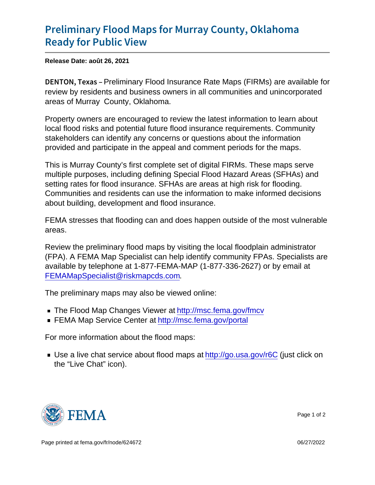## [Preliminary Flood Maps for Murr](https://www.fema.gov/press-release/20210828/preliminary-flood-maps-murray-county-oklahoma-ready-public-view)ay County [Ready for Pu](https://www.fema.gov/press-release/20210828/preliminary-flood-maps-murray-county-oklahoma-ready-public-view)blic View

Release Date: août 26, 2021

DENTON, Peekimainary Flood Insurance Rate Maps (FIRMs) are available for review by residents and business owners in all communities and unincorporated areas of Murray County, Oklahoma.

Property owners are encouraged to review the latest information to learn about local flood risks and potential future flood insurance requirements. Community stakeholders can identify any concerns or questions about the information provided and participate in the appeal and comment periods for the maps.

This is Murray County's first complete set of digital FIRMs. These maps serve multiple purposes, including defining Special Flood Hazard Areas (SFHAs) and setting rates for flood insurance. SFHAs are areas at high risk for flooding. Communities and residents can use the information to make informed decisions about building, development and flood insurance.

FEMA stresses that flooding can and does happen outside of the most vulnerable areas.

Review the preliminary flood maps by visiting the local floodplain administrator (FPA). A FEMA Map Specialist can help identify community FPAs. Specialists are available by telephone at 1-877-FEMA-MAP (1-877-336-2627) or by email at [FEMAMapSpecialist@riskmapcds.com](mailto:FEMAMapSpecialist@riskmapcds.com).

The preliminary maps may also be viewed online:

- The Flood Map Changes Viewer at<http://msc.fema.gov/fmcv>
- FEMA Map Service Center at<http://msc.fema.gov/portal>

For more information about the flood maps:

■ Use a live chat service about flood maps at<http://go.usa.gov/r6C> (just click on the "Live Chat" icon).



Page 1 of 2